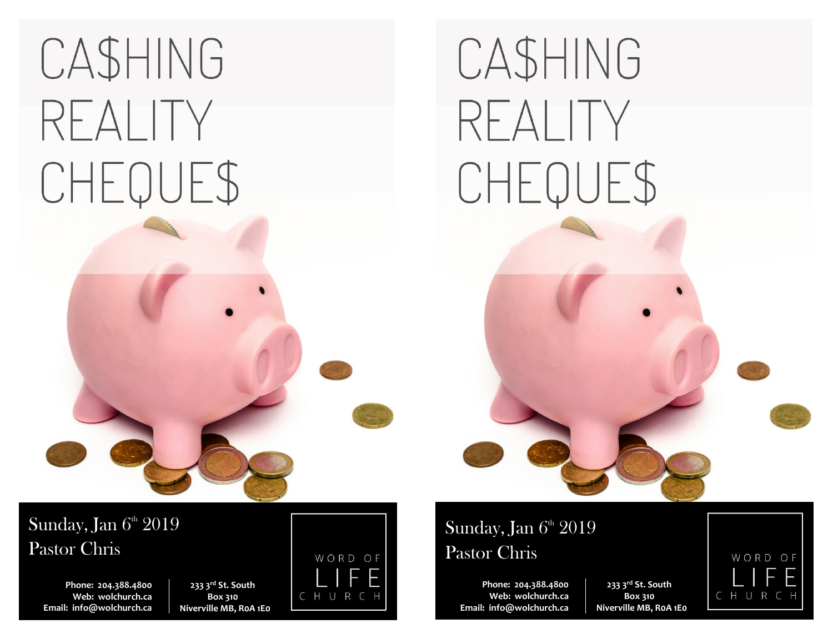# CASHING REALITY CHEQUE\$

# CASHING REALITY CHEQUE\$

Sunday, Jan  $6<sup>th</sup> 2019$ Pastor Chris

> **Phone: 204.388.4800 Web: wolchurch.ca Email: [info@wolchurch.ca](mailto:info@wolchurch.ca)**

**233 3rd St. South Box 310 Niverville MB, R0A 1E0**



## Sunday, Jan  $6<sup>th</sup> 2019$ Pastor Chris

**Phone: 204.388.4800 Web: wolchurch.ca Email: [info@wolchurch.ca](mailto:info@wolchurch.ca)**

**233 3rd St. South Box 310 Niverville MB, R0A 1E0**

WORD OF CHURCH